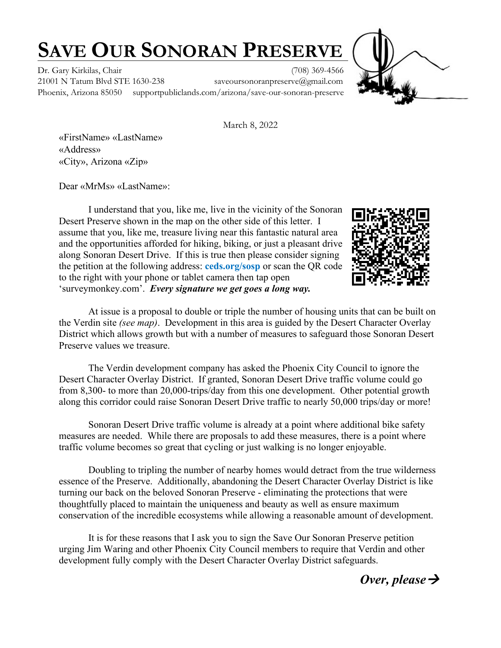## **SAVE OUR SONORAN PRESERVE**

Dr. Gary Kirkilas, Chair (708) 369-4566

21001 N Tatum Blvd STE 1630-238 saveoursonoranpreserve@gmail.com Phoenix, Arizona 85050 supportpubliclands.com/arizona/save-our-sonoran-preserve



March 8, 2022

«FirstName» «LastName» «Address» «City», Arizona «Zip»

Dear «MrMs» «LastName»:

I understand that you, like me, live in the vicinity of the Sonoran Desert Preserve shown in the map on the other side of this letter. I assume that you, like me, treasure living near this fantastic natural area and the opportunities afforded for hiking, biking, or just a pleasant drive along Sonoran Desert Drive. If this is true then please consider signing the petition at the following address: **ceds.org/sosp** or scan the QR code to the right with your phone or tablet camera then tap open 'surveymonkey.com'. *Every signature we get goes a long way.*



At issue is a proposal to double or triple the number of housing units that can be built on the Verdin site *(see map)*. Development in this area is guided by the Desert Character Overlay District which allows growth but with a number of measures to safeguard those Sonoran Desert Preserve values we treasure.

The Verdin development company has asked the Phoenix City Council to ignore the Desert Character Overlay District. If granted, Sonoran Desert Drive traffic volume could go from 8,300- to more than 20,000-trips/day from this one development. Other potential growth along this corridor could raise Sonoran Desert Drive traffic to nearly 50,000 trips/day or more!

Sonoran Desert Drive traffic volume is already at a point where additional bike safety measures are needed. While there are proposals to add these measures, there is a point where traffic volume becomes so great that cycling or just walking is no longer enjoyable.

Doubling to tripling the number of nearby homes would detract from the true wilderness essence of the Preserve. Additionally, abandoning the Desert Character Overlay District is like turning our back on the beloved Sonoran Preserve - eliminating the protections that were thoughtfully placed to maintain the uniqueness and beauty as well as ensure maximum conservation of the incredible ecosystems while allowing a reasonable amount of development.

It is for these reasons that I ask you to sign the Save Our Sonoran Preserve petition urging Jim Waring and other Phoenix City Council members to require that Verdin and other development fully comply with the Desert Character Overlay District safeguards.

*Over, please*